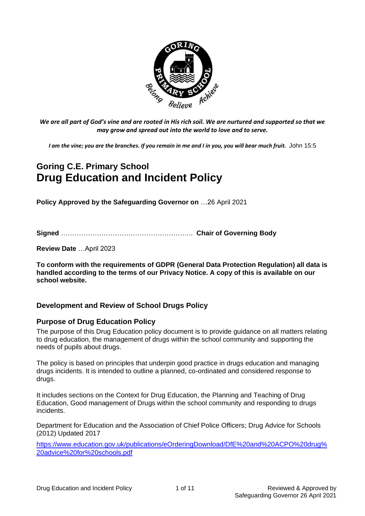

*We are all part of God's vine and are rooted in His rich soil. We are nurtured and supported so that we may grow and spread out into the world to love and to serve.*

*I am the vine; you are the branches. If you remain in me and I in you, you will bear much fruit.* John 15:5

# **Goring C.E. Primary School Drug Education and Incident Policy**

**Policy Approved by the Safeguarding Governor on** …26 April 2021

**Signed** ………………………………………………….. **Chair of Governing Body**

**Review Date** …April 2023

**To conform with the requirements of GDPR (General Data Protection Regulation) all data is handled according to the terms of our Privacy Notice. A copy of this is available on our school website.** 

## **Development and Review of School Drugs Policy**

## **Purpose of Drug Education Policy**

The purpose of this Drug Education policy document is to provide guidance on all matters relating to drug education, the management of drugs within the school community and supporting the needs of pupils about drugs.

The policy is based on principles that underpin good practice in drugs education and managing drugs incidents. It is intended to outline a planned, co-ordinated and considered response to drugs.

It includes sections on the Context for Drug Education, the Planning and Teaching of Drug Education, Good management of Drugs within the school community and responding to drugs incidents.

Department for Education and the Association of Chief Police Officers; Drug Advice for Schools (2012) Updated 2017

[https://www.education.gov.uk/publications/eOrderingDownload/DfE%20and%20ACPO%20drug%](https://www.education.gov.uk/publications/eOrderingDownload/DfE%20and%20ACPO%20drug%20advice%20for%20schools.pdf) [20advice%20for%20schools.pdf](https://www.education.gov.uk/publications/eOrderingDownload/DfE%20and%20ACPO%20drug%20advice%20for%20schools.pdf)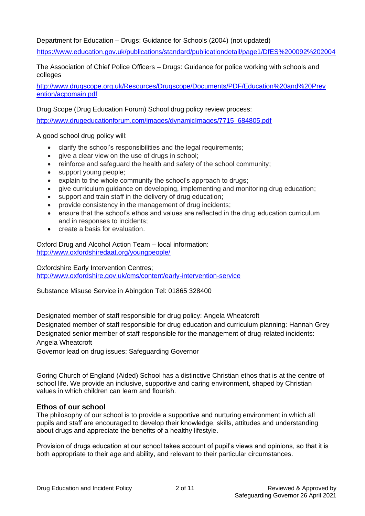Department for Education – Drugs: Guidance for Schools (2004) (not updated)

<https://www.education.gov.uk/publications/standard/publicationdetail/page1/DfES%200092%202004>

The Association of Chief Police Officers – Drugs: Guidance for police working with schools and colleges

[http://www.drugscope.org.uk/Resources/Drugscope/Documents/PDF/Education%20and%20Prev](http://www.drugscope.org.uk/Resources/Drugscope/Documents/PDF/Education%20and%20Prevention/acpomain.pdf) [ention/acpomain.pdf](http://www.drugscope.org.uk/Resources/Drugscope/Documents/PDF/Education%20and%20Prevention/acpomain.pdf)

Drug Scope (Drug Education Forum) School drug policy review process:

[http://www.drugeducationforum.com/images/dynamicImages/7715\\_684805.pdf](http://www.drugeducationforum.com/images/dynamicImages/7715_684805.pdf)

A good school drug policy will:

- clarify the school's responsibilities and the legal requirements;
- give a clear view on the use of drugs in school;
- reinforce and safeguard the health and safety of the school community;
- support young people;
- explain to the whole community the school's approach to drugs;
- give curriculum guidance on developing, implementing and monitoring drug education;
- support and train staff in the delivery of drug education;
- provide consistency in the management of drug incidents;
- ensure that the school's ethos and values are reflected in the drug education curriculum and in responses to incidents;
- create a basis for evaluation.

Oxford Drug and Alcohol Action Team – local information: <http://www.oxfordshiredaat.org/youngpeople/>

Oxfordshire Early Intervention Centres; <http://www.oxfordshire.gov.uk/cms/content/early-intervention-service>

Substance Misuse Service in Abingdon Tel: 01865 328400

Designated member of staff responsible for drug policy: Angela Wheatcroft Designated member of staff responsible for drug education and curriculum planning: Hannah Grey Designated senior member of staff responsible for the management of drug-related incidents: Angela Wheatcroft

Governor lead on drug issues: Safeguarding Governor

Goring Church of England (Aided) School has a distinctive Christian ethos that is at the centre of school life. We provide an inclusive, supportive and caring environment, shaped by Christian values in which children can learn and flourish.

#### **Ethos of our school**

The philosophy of our school is to provide a supportive and nurturing environment in which all pupils and staff are encouraged to develop their knowledge, skills, attitudes and understanding about drugs and appreciate the benefits of a healthy lifestyle.

Provision of drugs education at our school takes account of pupil's views and opinions, so that it is both appropriate to their age and ability, and relevant to their particular circumstances.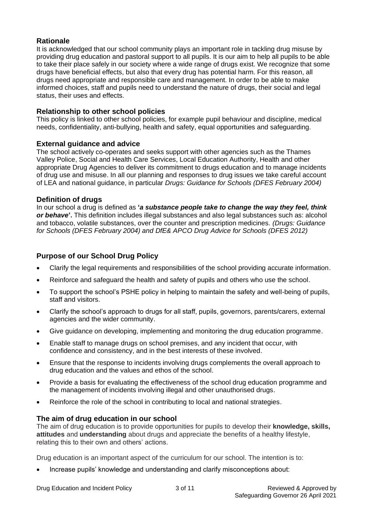## **Rationale**

It is acknowledged that our school community plays an important role in tackling drug misuse by providing drug education and pastoral support to all pupils. It is our aim to help all pupils to be able to take their place safely in our society where a wide range of drugs exist. We recognize that some drugs have beneficial effects, but also that every drug has potential harm. For this reason, all drugs need appropriate and responsible care and management. In order to be able to make informed choices, staff and pupils need to understand the nature of drugs, their social and legal status, their uses and effects.

## **Relationship to other school policies**

This policy is linked to other school policies, for example pupil behaviour and discipline, medical needs, confidentiality, anti-bullying, health and safety, equal opportunities and safeguarding.

## **External guidance and advice**

The school actively co-operates and seeks support with other agencies such as the Thames Valley Police, Social and Health Care Services, Local Education Authority, Health and other appropriate Drug Agencies to deliver its commitment to drugs education and to manage incidents of drug use and misuse. In all our planning and responses to drug issues we take careful account of LEA and national guidance, in particular *Drugs: Guidance for Schools (DFES February 2004)*

## **Definition of drugs**

In our school a drug is defined as **'***a substance people take to change the way they feel, think or behave***'.** This definition includes illegal substances and also legal substances such as: alcohol and tobacco, volatile substances, over the counter and prescription medicines. *(Drugs: Guidance for Schools (DFES February 2004) and DfE& APCO Drug Advice for Schools (DFES 2012)* 

## **Purpose of our School Drug Policy**

- Clarify the legal requirements and responsibilities of the school providing accurate information.
- Reinforce and safeguard the health and safety of pupils and others who use the school.
- To support the school's PSHE policy in helping to maintain the safety and well-being of pupils, staff and visitors.
- Clarify the school's approach to drugs for all staff, pupils, governors, parents/carers, external agencies and the wider community.
- Give guidance on developing, implementing and monitoring the drug education programme.
- Enable staff to manage drugs on school premises, and any incident that occur, with confidence and consistency, and in the best interests of these involved.
- Ensure that the response to incidents involving drugs complements the overall approach to drug education and the values and ethos of the school.
- Provide a basis for evaluating the effectiveness of the school drug education programme and the management of incidents involving illegal and other unauthorised drugs.
- Reinforce the role of the school in contributing to local and national strategies.

## **The aim of drug education in our school**

The aim of drug education is to provide opportunities for pupils to develop their **knowledge, skills, attitudes** and **understanding** about drugs and appreciate the benefits of a healthy lifestyle, relating this to their own and others' actions.

Drug education is an important aspect of the curriculum for our school. The intention is to:

• Increase pupils' knowledge and understanding and clarify misconceptions about: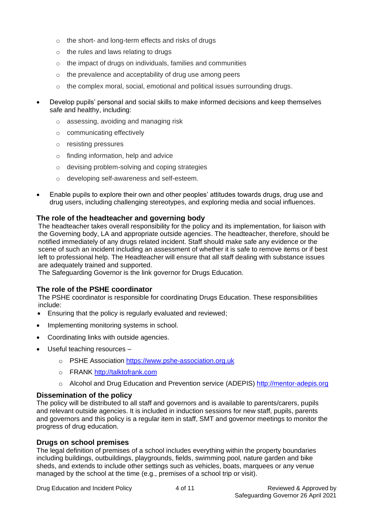- o the short- and long-term effects and risks of drugs
- o the rules and laws relating to drugs
- o the impact of drugs on individuals, families and communities
- o the prevalence and acceptability of drug use among peers
- $\circ$  the complex moral, social, emotional and political issues surrounding drugs.
- Develop pupils' personal and social skills to make informed decisions and keep themselves safe and healthy, including:
	- o assessing, avoiding and managing risk
	- o communicating effectively
	- o resisting pressures
	- o finding information, help and advice
	- o devising problem-solving and coping strategies
	- o developing self-awareness and self-esteem.
- Enable pupils to explore their own and other peoples' attitudes towards drugs, drug use and drug users, including challenging stereotypes, and exploring media and social influences.

## **The role of the headteacher and governing body**

The headteacher takes overall responsibility for the policy and its implementation, for liaison with the Governing body, LA and appropriate outside agencies. The headteacher, therefore, should be notified immediately of any drugs related incident. Staff should make safe any evidence or the scene of such an incident including an assessment of whether it is safe to remove items or if best left to professional help. The Headteacher will ensure that all staff dealing with substance issues are adequately trained and supported.

The Safeguarding Governor is the link governor for Drugs Education.

## **The role of the PSHE coordinator**

The PSHE coordinator is responsible for coordinating Drugs Education. These responsibilities include:

- Ensuring that the policy is regularly evaluated and reviewed;
- Implementing monitoring systems in school.
- Coordinating links with outside agencies.
- Useful teaching resources
	- o PSHE Association [https://www.pshe-association.org.uk](https://www.pshe-association.org.uk/)
	- o FRANK [http://talktofrank.com](http://talktofrank.com/)
	- o Alcohol and Drug Education and Prevention service (ADEPIS) [http://mentor-adepis.org](http://mentor-adepis.org/)

## **Dissemination of the policy**

The policy will be distributed to all staff and governors and is available to parents/carers, pupils and relevant outside agencies. It is included in induction sessions for new staff, pupils, parents and governors and this policy is a regular item in staff, SMT and governor meetings to monitor the progress of drug education.

## **Drugs on school premises**

The legal definition of premises of a school includes everything within the property boundaries including buildings, outbuildings, playgrounds, fields, swimming pool, nature garden and bike sheds, and extends to include other settings such as vehicles, boats, marquees or any venue managed by the school at the time (e.g., premises of a school trip or visit).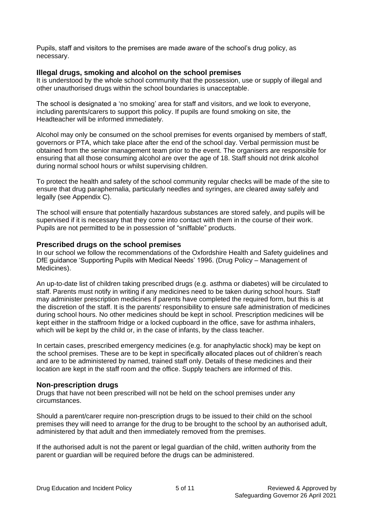Pupils, staff and visitors to the premises are made aware of the school's drug policy, as necessary.

#### **Illegal drugs, smoking and alcohol on the school premises**

It is understood by the whole school community that the possession, use or supply of illegal and other unauthorised drugs within the school boundaries is unacceptable.

The school is designated a 'no smoking' area for staff and visitors, and we look to everyone, including parents/carers to support this policy. If pupils are found smoking on site, the Headteacher will be informed immediately.

Alcohol may only be consumed on the school premises for events organised by members of staff, governors or PTA, which take place after the end of the school day. Verbal permission must be obtained from the senior management team prior to the event. The organisers are responsible for ensuring that all those consuming alcohol are over the age of 18. Staff should not drink alcohol during normal school hours or whilst supervising children.

To protect the health and safety of the school community regular checks will be made of the site to ensure that drug paraphernalia, particularly needles and syringes, are cleared away safely and legally (see Appendix C).

The school will ensure that potentially hazardous substances are stored safely, and pupils will be supervised if it is necessary that they come into contact with them in the course of their work. Pupils are not permitted to be in possession of "sniffable" products.

### **Prescribed drugs on the school premises**

In our school we follow the recommendations of the Oxfordshire Health and Safety guidelines and DfE guidance 'Supporting Pupils with Medical Needs' 1996. (Drug Policy – Management of Medicines).

An up-to-date list of children taking prescribed drugs (e.g. asthma or diabetes) will be circulated to staff. Parents must notify in writing if any medicines need to be taken during school hours. Staff may administer prescription medicines if parents have completed the required form, but this is at the discretion of the staff. It is the parents' responsibility to ensure safe administration of medicines during school hours. No other medicines should be kept in school. Prescription medicines will be kept either in the staffroom fridge or a locked cupboard in the office, save for asthma inhalers, which will be kept by the child or, in the case of infants, by the class teacher.

In certain cases, prescribed emergency medicines (e.g. for anaphylactic shock) may be kept on the school premises. These are to be kept in specifically allocated places out of children's reach and are to be administered by named, trained staff only. Details of these medicines and their location are kept in the staff room and the office. Supply teachers are informed of this.

#### **Non-prescription drugs**

Drugs that have not been prescribed will not be held on the school premises under any circumstances.

Should a parent/carer require non-prescription drugs to be issued to their child on the school premises they will need to arrange for the drug to be brought to the school by an authorised adult, administered by that adult and then immediately removed from the premises.

If the authorised adult is not the parent or legal guardian of the child, written authority from the parent or guardian will be required before the drugs can be administered.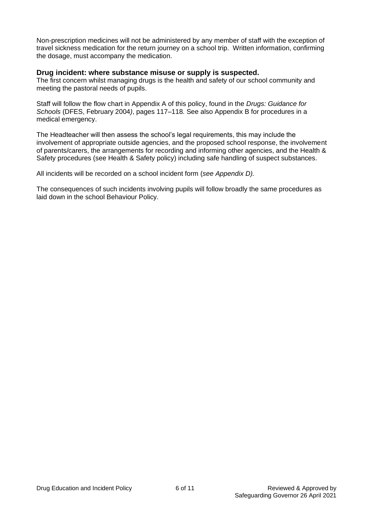Non-prescription medicines will not be administered by any member of staff with the exception of travel sickness medication for the return journey on a school trip. Written information, confirming the dosage, must accompany the medication.

#### **Drug incident: where substance misuse or supply is suspected.**

The first concern whilst managing drugs is the health and safety of our school community and meeting the pastoral needs of pupils.

Staff will follow the flow chart in Appendix A of this policy, found in the *Drugs: Guidance for Schools* (DFES, February 2004*)*, pages 117–118*.* See also Appendix B for procedures in a medical emergency.

The Headteacher will then assess the school's legal requirements, this may include the involvement of appropriate outside agencies, and the proposed school response, the involvement of parents/carers, the arrangements for recording and informing other agencies, and the Health & Safety procedures (see Health & Safety policy) including safe handling of suspect substances.

All incidents will be recorded on a school incident form (*see Appendix D).*

The consequences of such incidents involving pupils will follow broadly the same procedures as laid down in the school Behaviour Policy.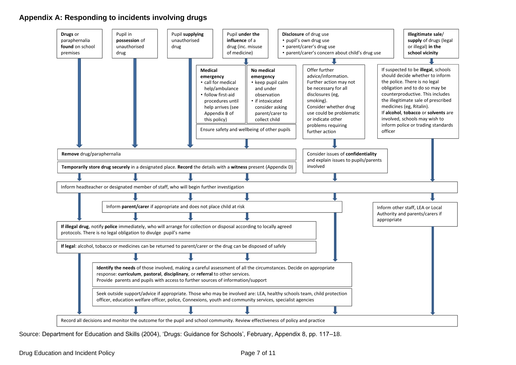## **Appendix A: Responding to incidents involving drugs**



Source: Department for Education and Skills (2004), 'Drugs: Guidance for Schools', February, Appendix 8, pp. 117–18.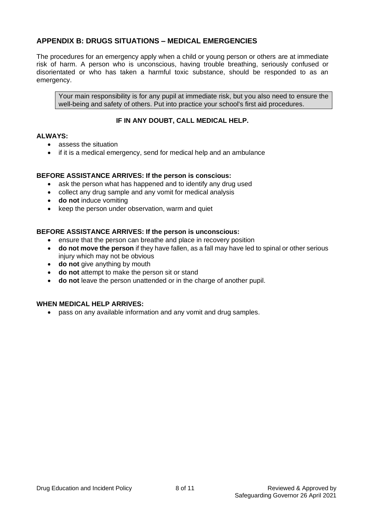## **APPENDIX B: DRUGS SITUATIONS – MEDICAL EMERGENCIES**

The procedures for an emergency apply when a child or young person or others are at immediate risk of harm. A person who is unconscious, having trouble breathing, seriously confused or disorientated or who has taken a harmful toxic substance, should be responded to as an emergency.

Your main responsibility is for any pupil at immediate risk, but you also need to ensure the well-being and safety of others. Put into practice your school's first aid procedures.

## **IF IN ANY DOUBT, CALL MEDICAL HELP.**

#### **ALWAYS:**

- assess the situation
- if it is a medical emergency, send for medical help and an ambulance

#### **BEFORE ASSISTANCE ARRIVES: If the person is conscious:**

- ask the person what has happened and to identify any drug used
- collect any drug sample and any vomit for medical analysis
- **do not** induce vomiting
- keep the person under observation, warm and quiet

#### **BEFORE ASSISTANCE ARRIVES: If the person is unconscious:**

- ensure that the person can breathe and place in recovery position
- **do not move the person** if they have fallen, as a fall may have led to spinal or other serious injury which may not be obvious
- **do not** give anything by mouth
- **do not** attempt to make the person sit or stand
- **do not** leave the person unattended or in the charge of another pupil.

#### **WHEN MEDICAL HELP ARRIVES:**

• pass on any available information and any vomit and drug samples.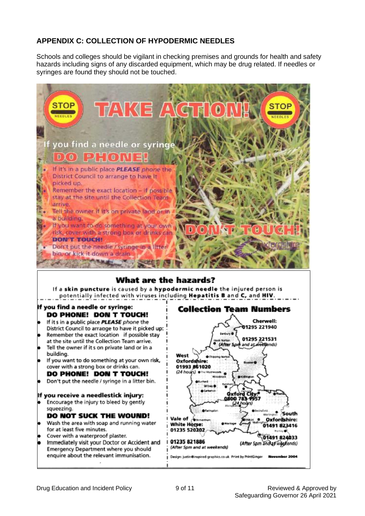## **APPENDIX C: COLLECTION OF HYPODERMIC NEEDLES**

Schools and colleges should be vigilant in checking premises and grounds for health and safety hazards including signs of any discarded equipment, which may be drug related. If needles or syringes are found they should not be touched.



## What are the hazards?

If a skin puncture is caused by a hypodermic needle the injured person is potentially infected with viruses including Hepatitis B and C, and HIV.

#### If you find a needle or syringe: DO PHONE! DON T TOUCH!

- If it s in a public place PLEASE phone the District Council to arrange to have it picked up: Remember the exact location if possible stay
- at the site until the Collection Team arrive. Tell the owner if it s on private land or in a
- building.
- If you want to do something at your own risk, cover with a strong box or drinks can.

## DO PHONE! DON T TOUCH!

Don't put the needle / syringe in a litter bin.

#### If you receive a needlestick injury:

Encourage the injury to bleed by gently squeezing.

#### DO NOT SUCK THE WOUND!

- Wash the area with soap and running water for at least five minutes.
- Cover with a waterproof plaster.
- Immediately visit your Doctor or Accident and **Emergency Department where you should** enquire about the relevant immunisation.

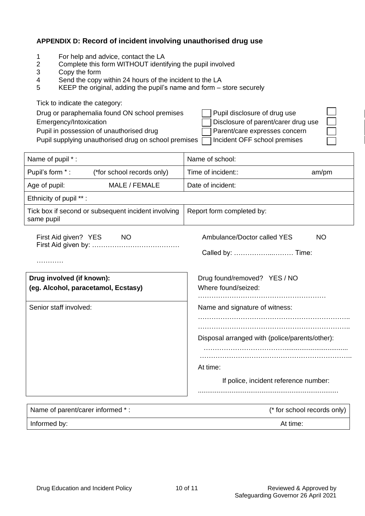## **APPENDIX D: Record of incident involving unauthorised drug use**

- 1 For help and advice, contact the LA<br>2 Complete this form WITHOUT identi
- 2 Complete this form WITHOUT identifying the pupil involved<br>3 Copy the form
- Copy the form
- 4 Send the copy within 24 hours of the incident to the LA<br>5 KEEP the original, adding the pupil's name and form  $-$
- KEEP the original, adding the pupil's name and form store securely

| Tick to indicate the category:                       |                                     |  |
|------------------------------------------------------|-------------------------------------|--|
| Drug or paraphernalia found ON school premises       | Pupil disclosure of drug use        |  |
| Emergency/Intoxication                               | Disclosure of parent/carer drug use |  |
| Pupil in possession of unauthorised drug             | Parent/care expresses concern       |  |
| Pupil supplying unauthorised drug on school premises | Incident OFF school premises        |  |

| Name of pupil *:                                                  | Name of school:                                     |
|-------------------------------------------------------------------|-----------------------------------------------------|
| Pupil's form *:<br>(*for school records only)                     | Time of incident::<br>am/pm                         |
| Age of pupil:<br>MALE / FEMALE                                    | Date of incident:                                   |
| Ethnicity of pupil **:                                            |                                                     |
| Tick box if second or subsequent incident involving<br>same pupil | Report form completed by:                           |
| First Aid given? YES NO                                           | Ambulance/Doctor called YES<br><b>NO</b>            |
| .                                                                 |                                                     |
| Drug involved (if known):<br>(eg. Alcohol, paracetamol, Ecstasy)  | Drug found/removed? YES / NO<br>Where found/seized: |
| Senior staff involved:                                            | Name and signature of witness:                      |
|                                                                   | Disposal arranged with (police/parents/other):      |
|                                                                   | At time:                                            |
|                                                                   | If police, incident reference number:               |
| Name of parent/carer informed *:                                  | (* for school records only)                         |
| Informed by:                                                      | At time:                                            |